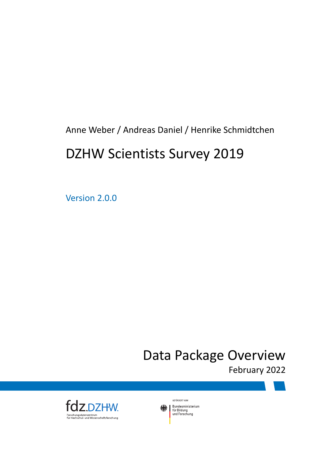Anne Weber / Andreas Daniel / Henrike Schmidtchen

## DZHW Scientists Survey 2019

Version 2.0.0

## Data Package Overview

February 2022



GEFÖRDERT VOM Bundesministerium 缘 Bundesministe<br>für Bildung<br>und Forschung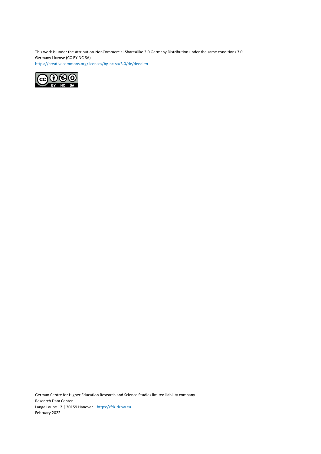This work is under the Attribution-NonCommercial-ShareAlike 3.0 Germany Distribution under the same conditions 3.0 Germany License (CC-BY-NC-SA) <https://creativecommons.org/licenses/by-nc-sa/3.0/de/deed.en>



German Centre for Higher Education Research and Science Studies limited liability company Research Data Center Lange Laube 12 | 30159 Hanover | <https://fdz.dzhw.eu> February 2022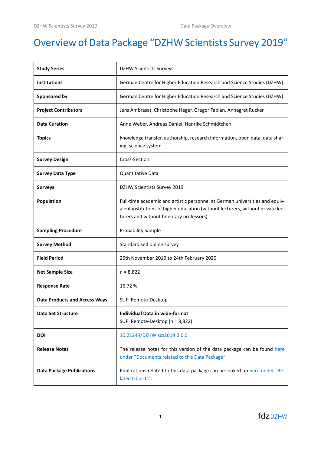## Overview of Data Package "DZHW Scientists Survey 2019"

| <b>Study Series</b>                  | <b>DZHW Scientists Surveys</b>                                                                                                                                                                            |
|--------------------------------------|-----------------------------------------------------------------------------------------------------------------------------------------------------------------------------------------------------------|
| <b>Institutions</b>                  | German Centre for Higher Education Research and Science Studies (DZHW)                                                                                                                                    |
| Sponsored by                         | German Centre for Higher Education Research and Science Studies (DZHW)                                                                                                                                    |
| <b>Project Contributors</b>          | Jens Ambrasat, Christophe Heger, Gregor Fabian, Annegret Rucker                                                                                                                                           |
| <b>Data Curation</b>                 | Anne Weber, Andreas Daniel, Henrike Schmidtchen                                                                                                                                                           |
| <b>Topics</b>                        | knowledge transfer, authorship, research information, open data, data shar-<br>ing, science system                                                                                                        |
| <b>Survey Design</b>                 | Cross-Section                                                                                                                                                                                             |
| <b>Survey Data Type</b>              | Quantitative Data                                                                                                                                                                                         |
| <b>Surveys</b>                       | DZHW Scientists Survey 2019                                                                                                                                                                               |
| <b>Population</b>                    | Full-time academic and artistic personnel at German universities and equiv-<br>alent institutions of higher education (without lecturers, without private lec-<br>turers and without honorary professors) |
| <b>Sampling Procedure</b>            | <b>Probability Sample</b>                                                                                                                                                                                 |
|                                      |                                                                                                                                                                                                           |
| <b>Survey Method</b>                 | Standardised online survey                                                                                                                                                                                |
| <b>Field Period</b>                  | 26th November 2019 to 24th February 2020                                                                                                                                                                  |
| <b>Net Sample Size</b>               | $n = 8,822$                                                                                                                                                                                               |
| <b>Response Rate</b>                 | 16.72%                                                                                                                                                                                                    |
| <b>Data Products and Access Ways</b> | SUF: Remote-Desktop                                                                                                                                                                                       |
| <b>Data Set Structure</b>            | <b>Individual Data in wide-format</b><br>SUF: Remote-Desktop (n = 8,822)                                                                                                                                  |
| <b>DOI</b>                           | 10.21249/DZHW:scs2019:2.0.0                                                                                                                                                                               |
| <b>Release Notes</b>                 | The release notes for this version of the data package can be found here<br>under "Documents related to this Data Package".                                                                               |